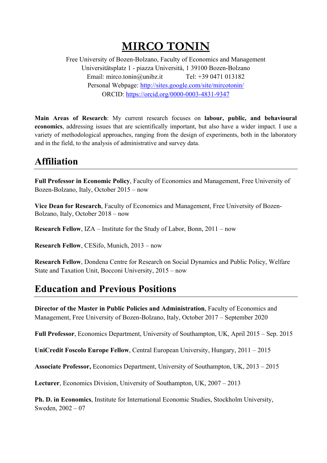# **MIRCO TONIN**

Free University of Bozen-Bolzano, Faculty of Economics and Management Universitätsplatz 1 - piazza Università, 1 39100 Bozen-Bolzano Email: mirco.tonin@unibz.it Tel: +39 0471 013182 Personal Webpage: http://sites.google.com/site/mircotonin/ ORCID: https://orcid.org/0000-0003-4831-9347

**Main Areas of Research**: My current research focuses on **labour, public, and behavioural economics**, addressing issues that are scientifically important, but also have a wider impact. I use a variety of methodological approaches, ranging from the design of experiments, both in the laboratory and in the field, to the analysis of administrative and survey data.

## **Affiliation**

**Full Professor in Economic Policy**, Faculty of Economics and Management, Free University of Bozen-Bolzano, Italy, October 2015 – now

**Vice Dean for Research**, Faculty of Economics and Management, Free University of Bozen-Bolzano, Italy, October 2018 – now

**Research Fellow**, IZA – Institute for the Study of Labor, Bonn, 2011 – now

**Research Fellow**, CESifo, Munich, 2013 – now

**Research Fellow**, Dondena Centre for Research on Social Dynamics and Public Policy, Welfare State and Taxation Unit, Bocconi University, 2015 – now

## **Education and Previous Positions**

**Director of the Master in Public Policies and Administration**, Faculty of Economics and Management, Free University of Bozen-Bolzano, Italy, October 2017 – September 2020

**Full Professor**, Economics Department, University of Southampton, UK, April 2015 – Sep. 2015

**UniCredit Foscolo Europe Fellow**, Central European University, Hungary, 2011 – 2015

**Associate Professor,** Economics Department, University of Southampton, UK, 2013 – 2015

**Lecturer**, Economics Division, University of Southampton, UK, 2007 – 2013

**Ph. D. in Economics**, Institute for International Economic Studies, Stockholm University, Sweden, 2002 – 07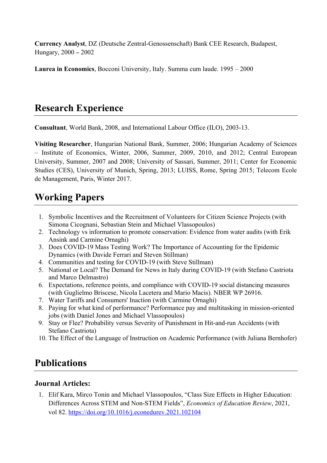**Currency Analyst**, DZ (Deutsche Zentral-Genossenschaft) Bank CEE Research, Budapest, Hungary, 2000 **–** 2002

**Laurea in Economics**, Bocconi University, Italy. Summa cum laude. 1995 – 2000

### **Research Experience**

**Consultant**, World Bank, 2008, and International Labour Office (ILO), 2003-13.

**Visiting Researcher**, Hungarian National Bank, Summer, 2006; Hungarian Academy of Sciences – Institute of Economics, Winter, 2006, Summer, 2009, 2010, and 2012; Central European University, Summer, 2007 and 2008; University of Sassari, Summer, 2011; Center for Economic Studies (CES), University of Munich, Spring, 2013; LUISS, Rome, Spring 2015; Telecom Ecole de Management, Paris, Winter 2017.

### **Working Papers**

- 1. Symbolic Incentives and the Recruitment of Volunteers for Citizen Science Projects (with Simona Cicognani, Sebastian Stein and Michael Vlassopoulos)
- 2. Technology vs information to promote conservation: Evidence from water audits (with Erik Ansink and Carmine Ornaghi)
- 3. Does COVID-19 Mass Testing Work? The Importance of Accounting for the Epidemic Dynamics (with Davide Ferrari and Steven Stillman)
- 4. Communities and testing for COVID-19 (with Steve Stillman)
- 5. National or Local? The Demand for News in Italy during COVID-19 (with Stefano Castriota and Marco Delmastro)
- 6. Expectations, reference points, and compliance with COVID-19 social distancing measures (with Guglielmo Briscese, Nicola Lacetera and Mario Macis). NBER WP 26916.
- 7. Water Tariffs and Consumers' Inaction (with Carmine Ornaghi)
- 8. Paying for what kind of performance? Performance pay and multitasking in mission-oriented jobs (with Daniel Jones and Michael Vlassopoulos)
- 9. Stay or Flee? Probability versus Severity of Punishment in Hit-and-run Accidents (with Stefano Castriota)
- 10. The Effect of the Language of Instruction on Academic Performance (with Juliana Bernhofer)

## **Publications**

#### **Journal Articles:**

1. Elif Kara, Mirco Tonin and Michael Vlassopoulos, "Class Size Effects in Higher Education: Differences Across STEM and Non-STEM Fields", *Economics of Education Review*, 2021, vol 82. https://doi.org/10.1016/j.econedurev.2021.102104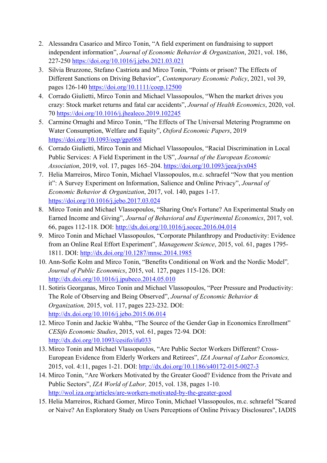- 2. Alessandra Casarico and Mirco Tonin, "A field experiment on fundraising to support independent information", *Journal of Economic Behavior & Organization*, 2021, vol. 186, 227-250 https://doi.org/10.1016/j.jebo.2021.03.021
- 3. Silvia Bruzzone, Stefano Castriota and Mirco Tonin, "Points or prison? The Effects of Different Sanctions on Driving Behavior", *Contemporary Economic Policy*, 2021, vol 39, pages 126-140 https://doi.org/10.1111/coep.12500
- 4. Corrado Giulietti, Mirco Tonin and Michael Vlassopoulos, "When the market drives you crazy: Stock market returns and fatal car accidents", *Journal of Health Economics*, 2020, vol. 70 https://doi.org/10.1016/j.jhealeco.2019.102245
- 5. Carmine Ornaghi and Mirco Tonin, "The Effects of The Universal Metering Programme on Water Consumption, Welfare and Equity", *Oxford Economic Papers*, 2019 https://doi.org/10.1093/oep/gpz068
- 6. Corrado Giulietti, Mirco Tonin and Michael Vlassopoulos, "Racial Discrimination in Local Public Services: A Field Experiment in the US", *Journal of the European Economic Association*, 2019, vol. 17, pages 165–204. https://doi.org/10.1093/jeea/jvx045
- 7. Helia Marreiros, Mirco Tonin, Michael Vlassopoulos, m.c. schraefel "Now that you mention it": A Survey Experiment on Information, Salience and Online Privacy", *Journal of Economic Behavior & Organization*, 2017, vol. 140, pages 1-17. https://doi.org/10.1016/j.jebo.2017.03.024
- 8. Mirco Tonin and Michael Vlassopoulos, "Sharing One's Fortune? An Experimental Study on Earned Income and Giving", *Journal of Behavioral and Experimental Economics*, 2017, vol. 66, pages 112-118. DOI: http://dx.doi.org/10.1016/j.socec.2016.04.014
- 9. Mirco Tonin and Michael Vlassopoulos, "Corporate Philanthropy and Productivity: Evidence from an Online Real Effort Experiment", *Management Science*, 2015, vol. 61, pages 1795- 1811. DOI: http://dx.doi.org/10.1287/mnsc.2014.1985
- 10. Ann-Sofie Kolm and Mirco Tonin, "Benefits Conditional on Work and the Nordic Model"*, Journal of Public Economics*, 2015, vol. 127, pages 115-126. DOI: http://dx.doi.org/10.1016/j.jpubeco.2014.05.010
- 11. Sotiris Georganas, Mirco Tonin and Michael Vlassopoulos, "Peer Pressure and Productivity: The Role of Observing and Being Observed", *Journal of Economic Behavior & Organization,* 2015, vol. 117, pages 223-232. DOI: http://dx.doi.org/10.1016/j.jebo.2015.06.014
- 12. Mirco Tonin and Jackie Wahba, "The Source of the Gender Gap in Economics Enrollment" *CESifo Economic Studies*, 2015, vol. 61, pages 72-94*.* DOI: http://dx.doi.org/10.1093/cesifo/ifu033
- 13. Mirco Tonin and Michael Vlassopoulos, "Are Public Sector Workers Different? Cross-European Evidence from Elderly Workers and Retirees", *IZA Journal of Labor Economics,*  2015, vol. 4:11, pages 1-21. DOI: http://dx.doi.org/10.1186/s40172-015-0027-3
- 14. Mirco Tonin, "Are Workers Motivated by the Greater Good? Evidence from the Private and Public Sectors", *IZA World of Labor,* 2015, vol. 138, pages 1-10*.* http://wol.iza.org/articles/are-workers-motivated-by-the-greater-good
- 15. Helia Marreiros, Richard Gomer, Mirco Tonin, Michael Vlassopoulos, m.c. schraefel "Scared or Naive? An Exploratory Study on Users Perceptions of Online Privacy Disclosures", IADIS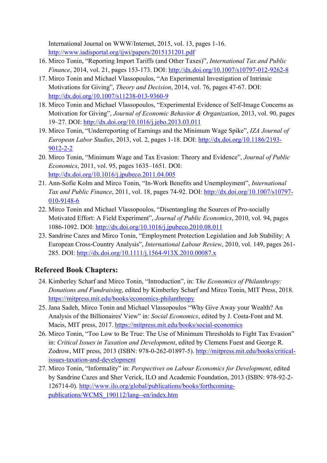International Journal on WWW/Internet, 2015, vol. 13, pages 1-16. http://www.iadisportal.org/ijwi/papers/2015131201.pdf

- 16. Mirco Tonin, "Reporting Import Tariffs (and Other Taxes)", *International Tax and Public Finance*, 2014, vol. 21, pages 153-173. DOI: http://dx.doi.org/10.1007/s10797-012-9262-8
- 17. Mirco Tonin and Michael Vlassopoulos, "An Experimental Investigation of Intrinsic Motivations for Giving", *Theory and Decision*, 2014, vol. 76, pages 47-67. DOI: http://dx.doi.org/10.1007/s11238-013-9360-9
- 18. Mirco Tonin and Michael Vlassopoulos, "Experimental Evidence of Self-Image Concerns as Motivation for Giving", *Journal of Economic Behavior & Organization*, 2013, vol. 90, pages 19–27. DOI: http://dx.doi.org/10.1016/j.jebo.2013.03.011
- 19. Mirco Tonin, "Underreporting of Earnings and the Minimum Wage Spike", *IZA Journal of European Labor Studies*, 2013, vol. 2, pages 1-18. DOI: http://dx.doi.org/10.1186/2193- 9012-2-2
- 20. Mirco Tonin, "Minimum Wage and Tax Evasion: Theory and Evidence", *Journal of Public Economics*, 2011, vol. 95, pages 1635–1651*.* DOI: http://dx.doi.org/10.1016/j.jpubeco.2011.04.005
- 21. Ann-Sofie Kolm and Mirco Tonin, "In-Work Benefits and Unemployment", *International Tax and Public Finance*, 2011, vol. 18, pages 74-92. DOI: http://dx.doi.org/10.1007/s10797- 010-9148-6
- 22. Mirco Tonin and Michael Vlassopoulos, "Disentangling the Sources of Pro-socially Motivated Effort: A Field Experiment", *Journal of Public Economics*, 2010, vol. 94, pages 1086-1092. DOI: http://dx.doi.org/10.1016/j.jpubeco.2010.08.011
- 23. Sandrine Cazes and Mirco Tonin, "Employment Protection Legislation and Job Stability: A European Cross-Country Analysis", *International Labour Review*, 2010, vol. 149, pages 261- 285. DOI: http://dx.doi.org/10.1111/j.1564-913X.2010.00087.x

#### **Refereed Book Chapters:**

- 24. Kimberley Scharf and Mirco Tonin, "Introduction", in: T*he Economics of Philanthropy: Donations and Fundraising*, edited by Kimberley Scharf and Mirco Tonin, MIT Press, 2018. https://mitpress.mit.edu/books/economics-philanthropy
- 25. Jana Sadeh, Mirco Tonin and Michael Vlassopoulos "Why Give Away your Wealth? An Analysis of the Billionaires' View" in: *Social Economics*, edited by J. Costa-Font and M. Macis, MIT press, 2017. https://mitpress.mit.edu/books/social-economics
- 26. Mirco Tonin, "Too Low to Be True: The Use of Minimum Thresholds to Fight Tax Evasion" in: *Critical Issues in Taxation and Development*, edited by Clemens Fuest and George R. Zodrow, MIT press, 2013 (ISBN: 978-0-262-01897-5). http://mitpress.mit.edu/books/criticalissues-taxation-and-development
- 27. Mirco Tonin, "Informality" in: *Perspectives on Labour Economics for Development*, edited by Sandrine Cazes and Sher Verick, ILO and Academic Foundation, 2013 (ISBN: 978-92-2- 126714-0). http://www.ilo.org/global/publications/books/forthcomingpublications/WCMS\_190112/lang--en/index.htm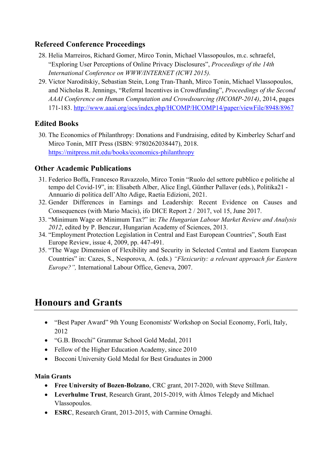#### **Refereed Conference Proceedings**

- 28. Helia Marreiros, Richard Gomer, Mirco Tonin, Michael Vlassopoulos, m.c. schraefel, "Exploring User Perceptions of Online Privacy Disclosures", *Proceedings of the 14th International Conference on WWW/INTERNET (ICWI 2015).*
- 29. Victor Naroditskiy, Sebastian Stein, Long Tran-Thanh, Mirco Tonin, Michael Vlassopoulos, and Nicholas R. Jennings, "Referral Incentives in Crowdfunding", *Proceedings of the Second AAAI Conference on Human Computation and Crowdsourcing (HCOMP-2014)*, 2014, pages 171-183. http://www.aaai.org/ocs/index.php/HCOMP/HCOMP14/paper/viewFile/8948/8967

#### **Edited Books**

30. The Economics of Philanthropy: Donations and Fundraising, edited by Kimberley Scharf and Mirco Tonin, MIT Press (ISBN: 9780262038447), 2018. https://mitpress.mit.edu/books/economics-philanthropy

#### **Other Academic Publications**

- 31. Federico Boffa, Francesco Ravazzolo, Mirco Tonin "Ruolo del settore pubblico e politiche al tempo del Covid-19", in: Elisabeth Alber, Alice Engl, Günther Pallaver (eds.), Politika21 - Annuario di politica dell'Alto Adige, Raetia Edizioni, 2021.
- 32. Gender Differences in Earnings and Leadership: Recent Evidence on Causes and Consequences (with Mario Macis), ifo DICE Report 2 / 2017, vol 15, June 2017.
- 33. "Minimum Wage or Minimum Tax?" in: *The Hungarian Labour Market Review and Analysis 2012*, edited by P. Benczur, Hungarian Academy of Sciences, 2013.
- 34. "Employment Protection Legislation in Central and East European Countries", South East Europe Review, issue 4, 2009, pp. 447-491.
- 35. "The Wage Dimension of Flexibility and Security in Selected Central and Eastern European Countries" in: Cazes, S., Nesporova, A. (eds.) *"Flexicurity: a relevant approach for Eastern Europe?",* International Labour Office, Geneva, 2007.

## **Honours and Grants**

- "Best Paper Award" 9th Young Economists' Workshop on Social Economy, Forli, Italy, 2012
- "G.B. Brocchi" Grammar School Gold Medal, 2011
- Fellow of the Higher Education Academy, since 2010
- Bocconi University Gold Medal for Best Graduates in 2000

#### **Main Grants**

- **Free University of Bozen-Bolzano**, CRC grant, 2017-2020, with Steve Stillman.
- **Leverhulme Trust**, Research Grant, 2015-2019, with Álmos Telegdy and Michael Vlassopoulos.
- **ESRC**, Research Grant, 2013-2015, with Carmine Ornaghi.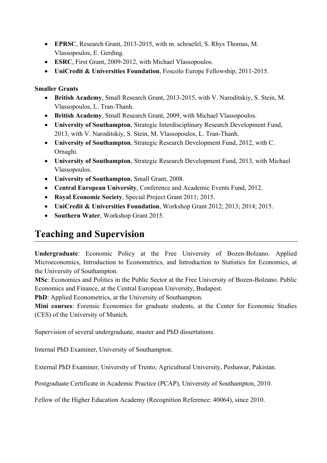- **EPRSC**, Research Grant, 2013-2015, with m. schraefel, S. Rhys Thomas, M. Vlassopoulos, E. Gerding.
- **ESRC**, First Grant, 2009-2012, with Michael Vlassopoulos.
- **UniCredit & Universities Foundation**, Foscolo Europe Fellowship, 2011-2015.

#### **Smaller Grants**

- **British Academy**, Small Research Grant, 2013-2015, with V. Naroditskiy, S. Stein, M. Vlassopoulos, L. Tran-Thanh.
- **British Academy**, Small Research Grant, 2009, with Michael Vlassopoulos.
- **University of Southampton**, Strategic Interdisciplinary Research Development Fund, 2013, with V. Naroditskiy, S. Stein, M. Vlassopoulos, L. Tran-Thanh.
- **University of Southampton**, Strategic Research Development Fund, 2012, with C. Ornaghi.
- **University of Southampton**, Strategic Research Development Fund, 2013, with Michael Vlassopoulos.
- **University of Southampton**, Small Grant, 2008.
- **Central European University**, Conference and Academic Events Fund, 2012.
- **Royal Economic Society**, Special Project Grant 2011; 2015.
- **UniCredit & Universities Foundation**, Workshop Grant 2012; 2013; 2014; 2015.
- **Southern Water**, Workshop Grant 2015.

## **Teaching and Supervision**

**Undergraduate**: Economic Policy at the Free University of Bozen-Bolzano. Applied Microeconomics, Introduction to Econometrics, and Introduction to Statistics for Economics, at the University of Southampton.

**MSc**: Economics and Politics in the Public Sector at the Free University of Bozen-Bolzano. Public Economics and Finance, at the Central European University, Budapest.

**PhD**: Applied Econometrics, at the University of Southampton.

**Mini courses**: Forensic Economics for graduate students, at the Center for Economic Studies (CES) of the University of Munich.

Supervision of several undergraduate, master and PhD dissertations.

Internal PhD Examiner, University of Southampton.

External PhD Examiner, University of Trento; Agricultural University, Peshawar, Pakistan.

Postgraduate Certificate in Academic Practice (PCAP), University of Southampton, 2010.

Fellow of the Higher Education Academy (Recognition Reference: 40064), since 2010.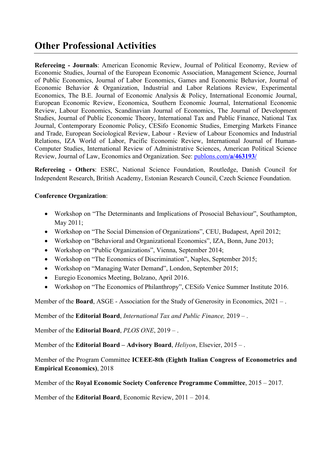## **Other Professional Activities**

**Refereeing - Journals**: American Economic Review, Journal of Political Economy, Review of Economic Studies, Journal of the European Economic Association, Management Science, Journal of Public Economics, Journal of Labor Economics, Games and Economic Behavior, Journal of Economic Behavior & Organization, Industrial and Labor Relations Review, Experimental Economics, The B.E. Journal of Economic Analysis & Policy, International Economic Journal, European Economic Review, Economica, Southern Economic Journal, International Economic Review, Labour Economics, Scandinavian Journal of Economics, The Journal of Development Studies, Journal of Public Economic Theory, International Tax and Public Finance, National Tax Journal, Contemporary Economic Policy, CESifo Economic Studies, Emerging Markets Finance and Trade, European Sociological Review, Labour - Review of Labour Economics and Industrial Relations, IZA World of Labor, Pacific Economic Review, International Journal of Human-Computer Studies, International Review of Administrative Sciences, American Political Science Review, Journal of Law, Economics and Organization. See: publons.com**/a/463193/**

**Refereeing - Others**: ESRC, National Science Foundation, Routledge, Danish Council for Independent Research, British Academy, Estonian Research Council, Czech Science Foundation.

#### **Conference Organization**:

- Workshop on "The Determinants and Implications of Prosocial Behaviour", Southampton, May 2011;
- Workshop on "The Social Dimension of Organizations", CEU, Budapest, April 2012;
- Workshop on "Behavioral and Organizational Economics", IZA, Bonn, June 2013;
- Workshop on "Public Organizations", Vienna, September 2014;
- Workshop on "The Economics of Discrimination", Naples, September 2015;
- Workshop on "Managing Water Demand", London, September 2015;
- Euregio Economics Meeting, Bolzano, April 2016.
- Workshop on "The Economics of Philanthropy", CESifo Venice Summer Institute 2016.

Member of the **Board**, ASGE - Association for the Study of Generosity in Economics, 2021 – .

Member of the **Editorial Board**, *International Tax and Public Finance,* 2019 – .

Member of the **Editorial Board**, *PLOS ONE*, 2019 – .

Member of the **Editorial Board – Advisory Board**, *Heliyon*, Elsevier, 2015 – .

Member of the Program Committee **ICEEE-8th (Eighth Italian Congress of Econometrics and Empirical Economics)**, 2018

Member of the **Royal Economic Society Conference Programme Committee**, 2015 – 2017.

Member of the **Editorial Board**, Economic Review, 2011 – 2014.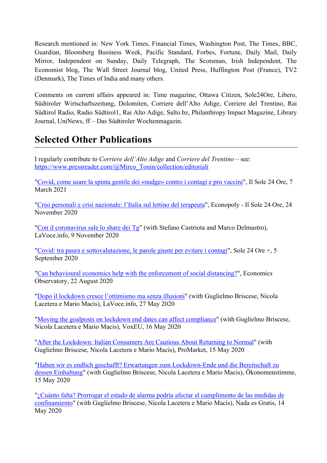Research mentioned in: New York Times, Financial Times, Washington Post, The Times, BBC, Guardian, Bloomberg Business Week, Pacific Standard, Forbes, Fortune, Daily Mail, Daily Mirror, Independent on Sunday, Daily Telegraph, The Scotsman, Irish Independent, The Economist blog, The Wall Street Journal blog, United Press, Huffington Post (France), TV2 (Denmark), The Times of India and many others.

Comments on current affairs appeared in: Time magazine, Ottawa Citizen, Sole24Ore, Libero, Südtiroler Wirtschaftszeitung, Dolomiten, Corriere dell'Alto Adige, Corriere del Trentino, Rai Südtirol Radio, Radio Südtirol1, Rai Alto Adige, Salto.bz, Philanthropy Impact Magazine, Library Journal, UniNews, ff – Das Südtiroler Wochenmagazin.

## **Selected Other Publications**

I regularly contribute to *Corriere dell'Alto Adige* and *Corriere del Trentino* – see: https://www.pressreader.com/@Mirco\_Tonin/collection/editoriali

"Covid, come usare la spinta gentile dei «nudge» contro i contagi e pro vaccini", Il Sole 24 Ore, 7 March 2021

"Crisi personali e crisi nazionale: l'Italia sul lettino del terapeuta", Econopoly - Il Sole 24 Ore, 24 November 2020

"Con il coronavirus sale lo share dei Tg" (with Stefano Castriota and Marco Delmastro), LaVoce.info, 9 November 2020

"Covid: tra paura e sottovalutazione, le parole giuste per evitare i contagi", Sole 24 Ore +, 5 September 2020

"Can behavioural economics help with the enforcement of social distancing?", Economics Observatory, 22 August 2020

"Dopo il lockdown cresce l'ottimismo ma senza illusioni" (with Guglielmo Briscese, Nicola Lacetera e Mario Macis), LaVoce.info, 27 May 2020

"Moving the goalposts on lockdown end dates can affect compliance" (with Guglielmo Briscese, Nicola Lacetera e Mario Macis), VoxEU, 16 May 2020

"After the Lockdown: Italian Consumers Are Cautious About Returning to Normal" (with Guglielmo Briscese, Nicola Lacetera e Mario Macis), ProMarket, 15 May 2020

"Haben wir es endlich geschafft? Erwartungen zum Lockdown-Ende und die Bereitschaft zu dessen Einhaltung" (with Guglielmo Briscese, Nicola Lacetera e Mario Macis), Ökonomenstimme, 15 May 2020

"¿Cuánto falta? Prorrogar el estado de alarma podría afectar el cumplimento de las medidas de confinamiento" (with Guglielmo Briscese, Nicola Lacetera e Mario Macis), Nada es Gratis, 14 May 2020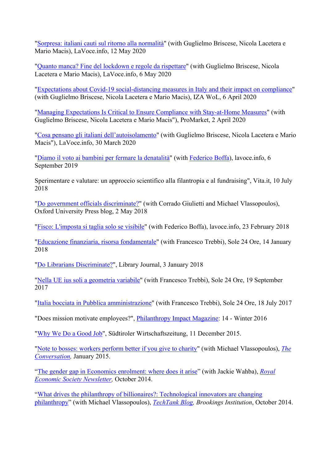"Sorpresa: italiani cauti sul ritorno alla normalità" (with Guglielmo Briscese, Nicola Lacetera e Mario Macis), LaVoce.info, 12 May 2020

"Quanto manca? Fine del lockdown e regole da rispettare" (with Guglielmo Briscese, Nicola Lacetera e Mario Macis), LaVoce.info, 6 May 2020

"Expectations about Covid-19 social-distancing measures in Italy and their impact on compliance" (with Guglielmo Briscese, Nicola Lacetera e Mario Macis), IZA WoL, 6 April 2020

"Managing Expectations Is Critical to Ensure Compliance with Stay-at-Home Measures" (with Guglielmo Briscese, Nicola Lacetera e Mario Macis"), ProMarket, 2 April 2020

"Cosa pensano gli italiani dell'autoisolamento" (with Guglielmo Briscese, Nicola Lacetera e Mario Macis"), LaVoce.info, 30 March 2020

"Diamo il voto ai bambini per fermare la denatalità" (with Federico Boffa), lavoce.info, 6 September 2019

Sperimentare e valutare: un approccio scientifico alla filantropia e al fundraising", Vita.it, 10 July 2018

"Do government officials discriminate?" (with Corrado Giulietti and Michael Vlassopoulos), Oxford University Press blog, 2 May 2018

"Fisco: L'imposta si taglia solo se visibile" (with Federico Boffa), lavoce.info, 23 February 2018

"Educazione finanziaria, risorsa fondamentale" (with Francesco Trebbi), Sole 24 Ore, 14 January 2018

"Do Librarians Discriminate?", Library Journal, 3 January 2018

"Nella UE ius soli a geometria variabile" (with Francesco Trebbi), Sole 24 Ore, 19 September 2017

"Italia bocciata in Pubblica amministrazione" (with Francesco Trebbi), Sole 24 Ore, 18 July 2017

"Does mission motivate employees?", Philanthropy Impact Magazine: 14 - Winter 2016

"Why We Do a Good Job", Südtiroler Wirtschaftszeitung, 11 December 2015.

"Note to bosses: workers perform better if you give to charity" (with Michael Vlassopoulos), *The Conversation,* January 2015.

"The gender gap in Economics enrolment: where does it arise" (with Jackie Wahba), *Royal Economic Society Newsletter,* October 2014.

"What drives the philanthropy of billionaires?: Technological innovators are changing philanthropy" (with Michael Vlassopoulos), *TechTank Blog, Brookings Institution*, October 2014.